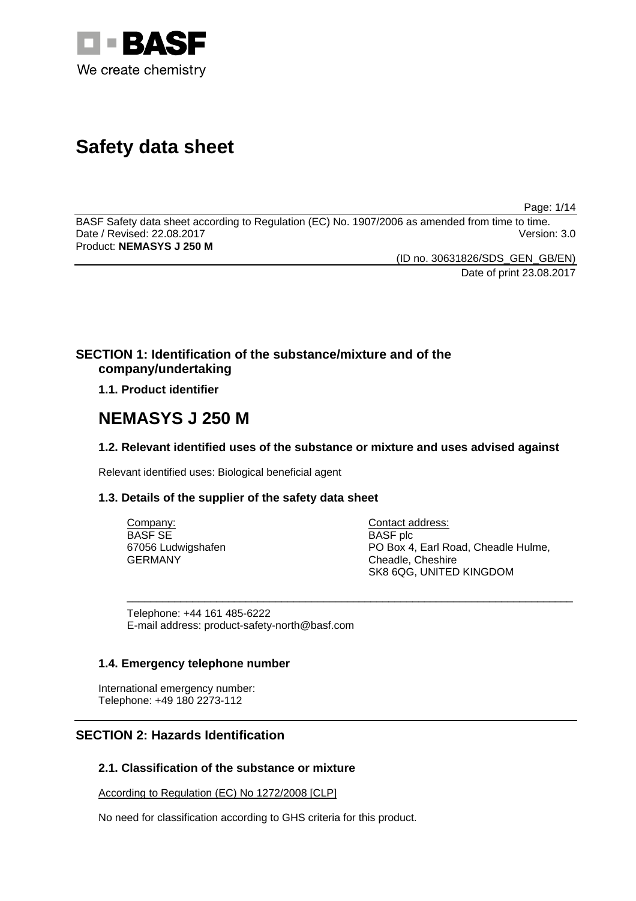

# **Safety data sheet**

Page: 1/14

BASF Safety data sheet according to Regulation (EC) No. 1907/2006 as amended from time to time. Date / Revised: 22.08.2017 Product: **NEMASYS J 250 M** 

> (ID no. 30631826/SDS\_GEN\_GB/EN) Date of print 23.08.2017

### **SECTION 1: Identification of the substance/mixture and of the company/undertaking**

**1.1. Product identifier**

## **NEMASYS J 250 M**

### **1.2. Relevant identified uses of the substance or mixture and uses advised against**

\_\_\_\_\_\_\_\_\_\_\_\_\_\_\_\_\_\_\_\_\_\_\_\_\_\_\_\_\_\_\_\_\_\_\_\_\_\_\_\_\_\_\_\_\_\_\_\_\_\_\_\_\_\_\_\_\_\_\_\_\_\_\_\_\_\_\_\_\_\_\_\_\_\_\_

Relevant identified uses: Biological beneficial agent

### **1.3. Details of the supplier of the safety data sheet**

Company: BASF SE 67056 Ludwigshafen GERMANY

Contact address: BASF plc PO Box 4, Earl Road, Cheadle Hulme, Cheadle, Cheshire SK8 6QG, UNITED KINGDOM

Telephone: +44 161 485-6222 E-mail address: product-safety-north@basf.com

### **1.4. Emergency telephone number**

International emergency number: Telephone: +49 180 2273-112

### **SECTION 2: Hazards Identification**

### **2.1. Classification of the substance or mixture**

According to Regulation (EC) No 1272/2008 [CLP]

No need for classification according to GHS criteria for this product.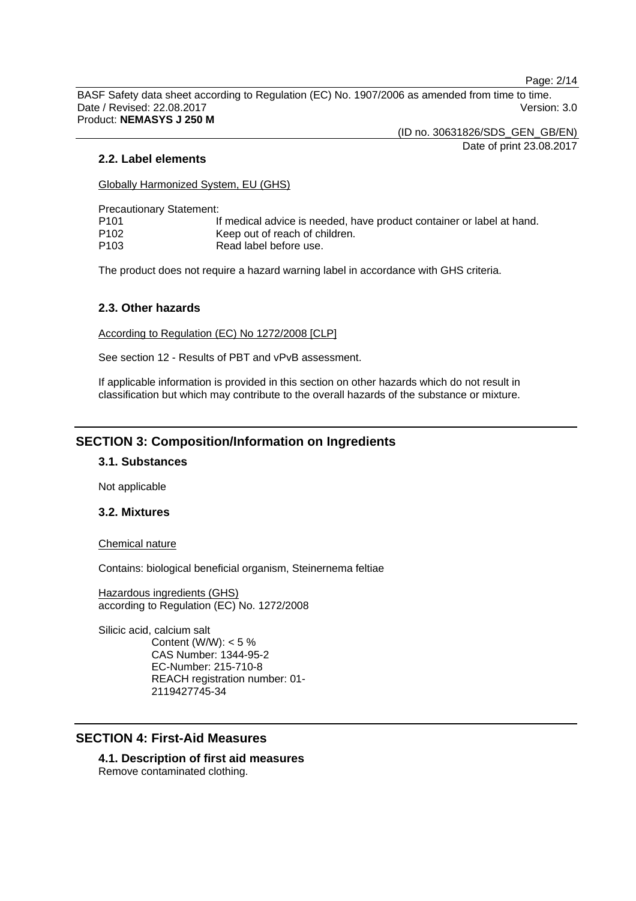Page: 2/14

BASF Safety data sheet according to Regulation (EC) No. 1907/2006 as amended from time to time. Date / Revised: 22.08.2017 Version: 3.0 Product: **NEMASYS J 250 M** 

(ID no. 30631826/SDS\_GEN\_GB/EN)

Date of print 23.08.2017

#### **2.2. Label elements**

Globally Harmonized System, EU (GHS)

Precautionary Statement:

| P101 | If medical advice is needed, have product container or label at hand. |
|------|-----------------------------------------------------------------------|
| P102 | Keep out of reach of children.                                        |
| P103 | Read label before use.                                                |

The product does not require a hazard warning label in accordance with GHS criteria.

#### **2.3. Other hazards**

According to Regulation (EC) No 1272/2008 [CLP]

See section 12 - Results of PBT and vPvB assessment.

If applicable information is provided in this section on other hazards which do not result in classification but which may contribute to the overall hazards of the substance or mixture.

### **SECTION 3: Composition/Information on Ingredients**

#### **3.1. Substances**

Not applicable

#### **3.2. Mixtures**

Chemical nature

Contains: biological beneficial organism, Steinernema feltiae

Hazardous ingredients (GHS) according to Regulation (EC) No. 1272/2008

Silicic acid, calcium salt Content (W/W):  $< 5 \%$ CAS Number: 1344-95-2 EC-Number: 215-710-8 REACH registration number: 01- 2119427745-34

### **SECTION 4: First-Aid Measures**

**4.1. Description of first aid measures**  Remove contaminated clothing.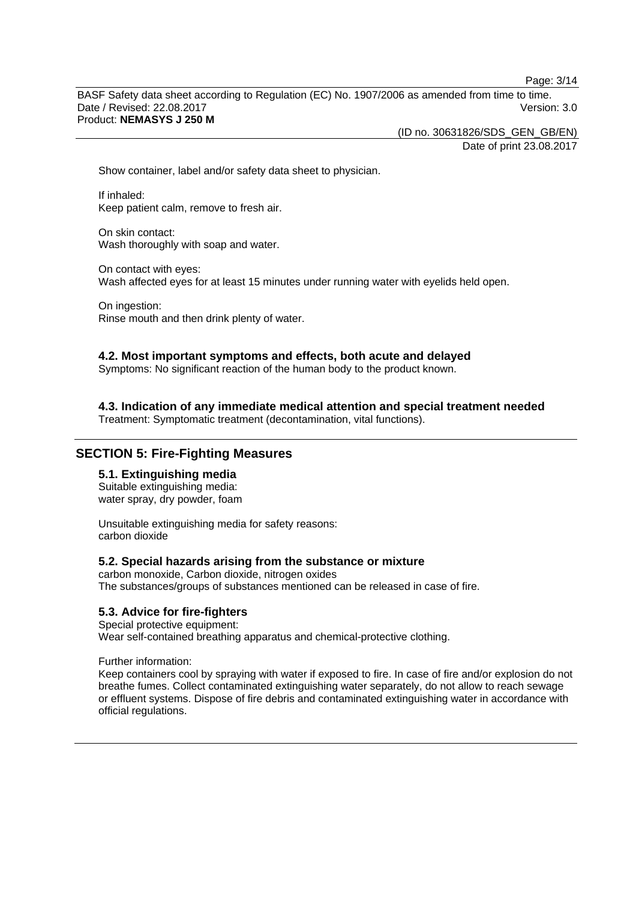Page: 3/14

BASF Safety data sheet according to Regulation (EC) No. 1907/2006 as amended from time to time. Date / Revised: 22.08.2017 Version: 3.0 Product: **NEMASYS J 250 M** 

(ID no. 30631826/SDS\_GEN\_GB/EN)

Date of print 23.08.2017

Show container, label and/or safety data sheet to physician.

If inhaled: Keep patient calm, remove to fresh air.

On skin contact: Wash thoroughly with soap and water.

On contact with eyes: Wash affected eyes for at least 15 minutes under running water with eyelids held open.

On ingestion: Rinse mouth and then drink plenty of water.

#### **4.2. Most important symptoms and effects, both acute and delayed**

Symptoms: No significant reaction of the human body to the product known.

**4.3. Indication of any immediate medical attention and special treatment needed** 

Treatment: Symptomatic treatment (decontamination, vital functions).

### **SECTION 5: Fire-Fighting Measures**

#### **5.1. Extinguishing media**

Suitable extinguishing media: water spray, dry powder, foam

Unsuitable extinguishing media for safety reasons: carbon dioxide

#### **5.2. Special hazards arising from the substance or mixture**

carbon monoxide, Carbon dioxide, nitrogen oxides The substances/groups of substances mentioned can be released in case of fire.

#### **5.3. Advice for fire-fighters**

Special protective equipment: Wear self-contained breathing apparatus and chemical-protective clothing.

Further information:

Keep containers cool by spraying with water if exposed to fire. In case of fire and/or explosion do not breathe fumes. Collect contaminated extinguishing water separately, do not allow to reach sewage or effluent systems. Dispose of fire debris and contaminated extinguishing water in accordance with official regulations.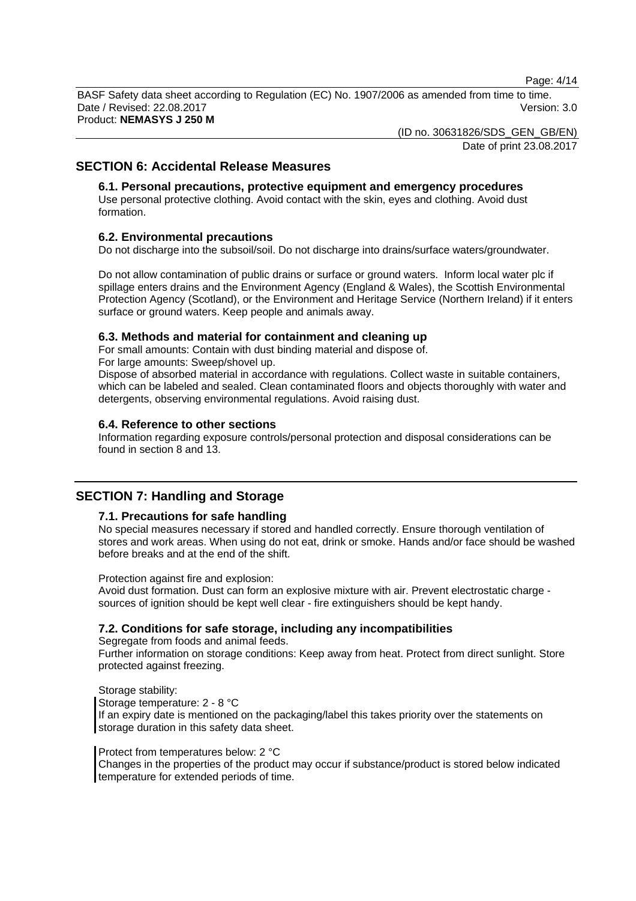Page: 4/14

BASF Safety data sheet according to Regulation (EC) No. 1907/2006 as amended from time to time. Date / Revised: 22.08.2017 Version: 3.0 Product: **NEMASYS J 250 M** 

(ID no. 30631826/SDS\_GEN\_GB/EN)

Date of print 23.08.2017

### **SECTION 6: Accidental Release Measures**

### **6.1. Personal precautions, protective equipment and emergency procedures**

Use personal protective clothing. Avoid contact with the skin, eyes and clothing. Avoid dust formation.

#### **6.2. Environmental precautions**

Do not discharge into the subsoil/soil. Do not discharge into drains/surface waters/groundwater.

Do not allow contamination of public drains or surface or ground waters. Inform local water plc if spillage enters drains and the Environment Agency (England & Wales), the Scottish Environmental Protection Agency (Scotland), or the Environment and Heritage Service (Northern Ireland) if it enters surface or ground waters. Keep people and animals away.

#### **6.3. Methods and material for containment and cleaning up**

For small amounts: Contain with dust binding material and dispose of.

For large amounts: Sweep/shovel up.

Dispose of absorbed material in accordance with regulations. Collect waste in suitable containers, which can be labeled and sealed. Clean contaminated floors and objects thoroughly with water and detergents, observing environmental regulations. Avoid raising dust.

#### **6.4. Reference to other sections**

Information regarding exposure controls/personal protection and disposal considerations can be found in section 8 and 13.

### **SECTION 7: Handling and Storage**

#### **7.1. Precautions for safe handling**

No special measures necessary if stored and handled correctly. Ensure thorough ventilation of stores and work areas. When using do not eat, drink or smoke. Hands and/or face should be washed before breaks and at the end of the shift.

Protection against fire and explosion:

Avoid dust formation. Dust can form an explosive mixture with air. Prevent electrostatic charge sources of ignition should be kept well clear - fire extinguishers should be kept handy.

### **7.2. Conditions for safe storage, including any incompatibilities**

Segregate from foods and animal feeds.

Further information on storage conditions: Keep away from heat. Protect from direct sunlight. Store protected against freezing.

Storage stability: Storage temperature: 2 - 8 °C If an expiry date is mentioned on the packaging/label this takes priority over the statements on storage duration in this safety data sheet.

#### Protect from temperatures below: 2 °C

Changes in the properties of the product may occur if substance/product is stored below indicated temperature for extended periods of time.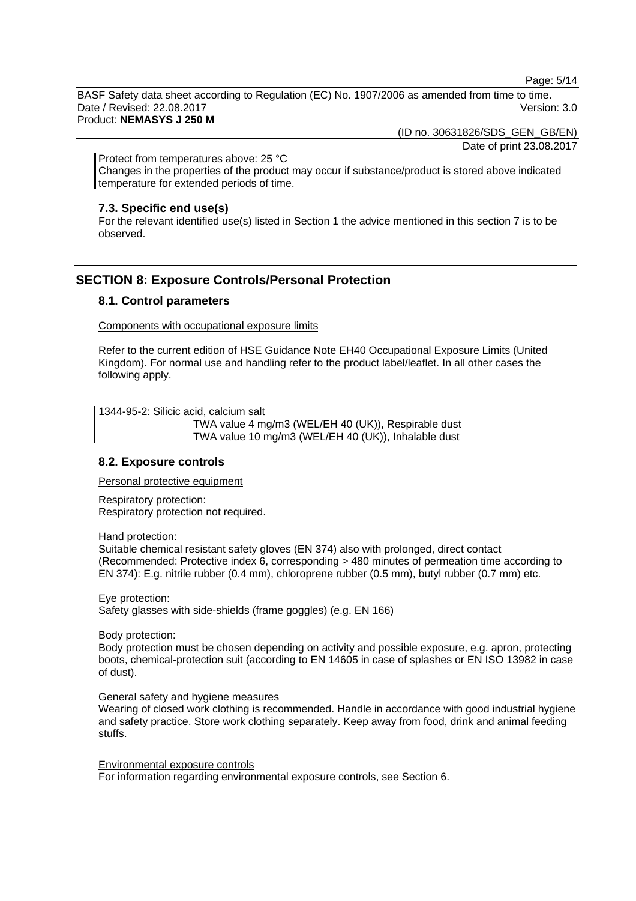Page: 5/14

BASF Safety data sheet according to Regulation (EC) No. 1907/2006 as amended from time to time. Date / Revised: 22.08.2017 Version: 3.0

Product: **NEMASYS J 250 M** 

(ID no. 30631826/SDS\_GEN\_GB/EN)

Date of print 23.08.2017

Protect from temperatures above: 25 °C

Changes in the properties of the product may occur if substance/product is stored above indicated temperature for extended periods of time.

#### **7.3. Specific end use(s)**

For the relevant identified use(s) listed in Section 1 the advice mentioned in this section 7 is to be observed.

### **SECTION 8: Exposure Controls/Personal Protection**

#### **8.1. Control parameters**

Components with occupational exposure limits

Refer to the current edition of HSE Guidance Note EH40 Occupational Exposure Limits (United Kingdom). For normal use and handling refer to the product label/leaflet. In all other cases the following apply.

1344-95-2: Silicic acid, calcium salt

 TWA value 4 mg/m3 (WEL/EH 40 (UK)), Respirable dust TWA value 10 mg/m3 (WEL/EH 40 (UK)), Inhalable dust

#### **8.2. Exposure controls**

Personal protective equipment

Respiratory protection: Respiratory protection not required.

Hand protection:

Suitable chemical resistant safety gloves (EN 374) also with prolonged, direct contact (Recommended: Protective index 6, corresponding > 480 minutes of permeation time according to EN 374): E.g. nitrile rubber (0.4 mm), chloroprene rubber (0.5 mm), butyl rubber (0.7 mm) etc.

Eye protection:

Safety glasses with side-shields (frame goggles) (e.g. EN 166)

Body protection:

Body protection must be chosen depending on activity and possible exposure, e.g. apron, protecting boots, chemical-protection suit (according to EN 14605 in case of splashes or EN ISO 13982 in case of dust).

#### General safety and hygiene measures

Wearing of closed work clothing is recommended. Handle in accordance with good industrial hygiene and safety practice. Store work clothing separately. Keep away from food, drink and animal feeding stuffs.

Environmental exposure controls For information regarding environmental exposure controls, see Section 6.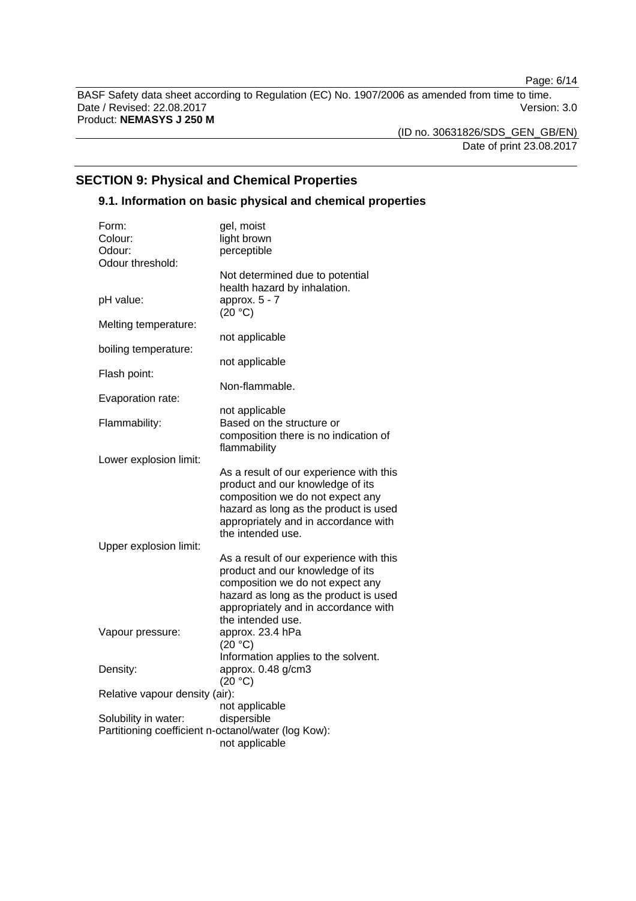Page: 6/14

BASF Safety data sheet according to Regulation (EC) No. 1907/2006 as amended from time to time. Date / Revised: 22.08.2017 Version: 3.0 Product: **NEMASYS J 250 M** 

(ID no. 30631826/SDS\_GEN\_GB/EN) Date of print 23.08.2017

### **SECTION 9: Physical and Chemical Properties**

### **9.1. Information on basic physical and chemical properties**

| Form:<br>Colour:                                    | gel, moist<br>light brown                                                                                                                                                                                             |
|-----------------------------------------------------|-----------------------------------------------------------------------------------------------------------------------------------------------------------------------------------------------------------------------|
| Odour:                                              | perceptible                                                                                                                                                                                                           |
| Odour threshold:                                    |                                                                                                                                                                                                                       |
| pH value:                                           | Not determined due to potential<br>health hazard by inhalation.<br>approx. 5 - 7                                                                                                                                      |
| Melting temperature:                                | (20 °C)                                                                                                                                                                                                               |
|                                                     | not applicable                                                                                                                                                                                                        |
| boiling temperature:                                |                                                                                                                                                                                                                       |
|                                                     | not applicable                                                                                                                                                                                                        |
| Flash point:                                        |                                                                                                                                                                                                                       |
|                                                     | Non-flammable.                                                                                                                                                                                                        |
| Evaporation rate:                                   |                                                                                                                                                                                                                       |
|                                                     | not applicable                                                                                                                                                                                                        |
| Flammability:                                       | Based on the structure or                                                                                                                                                                                             |
|                                                     | composition there is no indication of                                                                                                                                                                                 |
|                                                     | flammability                                                                                                                                                                                                          |
| Lower explosion limit:                              |                                                                                                                                                                                                                       |
| Upper explosion limit:                              | As a result of our experience with this<br>product and our knowledge of its<br>composition we do not expect any<br>hazard as long as the product is used<br>appropriately and in accordance with<br>the intended use. |
|                                                     | As a result of our experience with this                                                                                                                                                                               |
|                                                     | product and our knowledge of its<br>composition we do not expect any<br>hazard as long as the product is used<br>appropriately and in accordance with<br>the intended use.                                            |
| Vapour pressure:                                    | approx. 23.4 hPa                                                                                                                                                                                                      |
|                                                     | (20 °C)                                                                                                                                                                                                               |
|                                                     | Information applies to the solvent.                                                                                                                                                                                   |
| Density:                                            | approx. 0.48 g/cm3                                                                                                                                                                                                    |
|                                                     | (20 °C)                                                                                                                                                                                                               |
| Relative vapour density (air):                      |                                                                                                                                                                                                                       |
|                                                     | not applicable                                                                                                                                                                                                        |
| Solubility in water:                                | dispersible                                                                                                                                                                                                           |
| Partitioning coefficient n-octanol/water (log Kow): |                                                                                                                                                                                                                       |
|                                                     | not applicable                                                                                                                                                                                                        |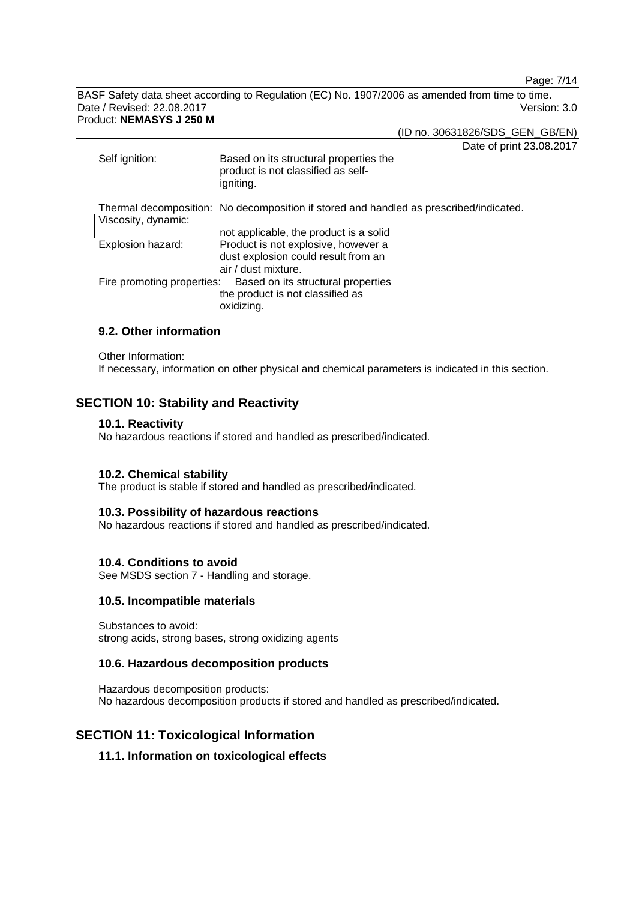Page: 7/14

BASF Safety data sheet according to Regulation (EC) No. 1907/2006 as amended from time to time. Date / Revised: 22.08.2017 Version: 3.0 Product: **NEMASYS J 250 M** 

(ID no. 30631826/SDS\_GEN\_GB/EN)

Date of print 23.08.2017

| Self ignition:             | Daiu VI print Zu.<br>Based on its structural properties the<br>product is not classified as self-<br>igniting. |
|----------------------------|----------------------------------------------------------------------------------------------------------------|
| Viscosity, dynamic:        | Thermal decomposition: No decomposition if stored and handled as prescribed/indicated.                         |
|                            | not applicable, the product is a solid                                                                         |
| Explosion hazard:          | Product is not explosive, however a<br>dust explosion could result from an<br>air / dust mixture.              |
| Fire promoting properties: | Based on its structural properties<br>the product is not classified as<br>oxidizing.                           |

### **9.2. Other information**

Other Information:

If necessary, information on other physical and chemical parameters is indicated in this section.

### **SECTION 10: Stability and Reactivity**

#### **10.1. Reactivity**

No hazardous reactions if stored and handled as prescribed/indicated.

#### **10.2. Chemical stability**

The product is stable if stored and handled as prescribed/indicated.

#### **10.3. Possibility of hazardous reactions**

No hazardous reactions if stored and handled as prescribed/indicated.

#### **10.4. Conditions to avoid**

See MSDS section 7 - Handling and storage.

#### **10.5. Incompatible materials**

Substances to avoid: strong acids, strong bases, strong oxidizing agents

#### **10.6. Hazardous decomposition products**

Hazardous decomposition products: No hazardous decomposition products if stored and handled as prescribed/indicated.

### **SECTION 11: Toxicological Information**

### **11.1. Information on toxicological effects**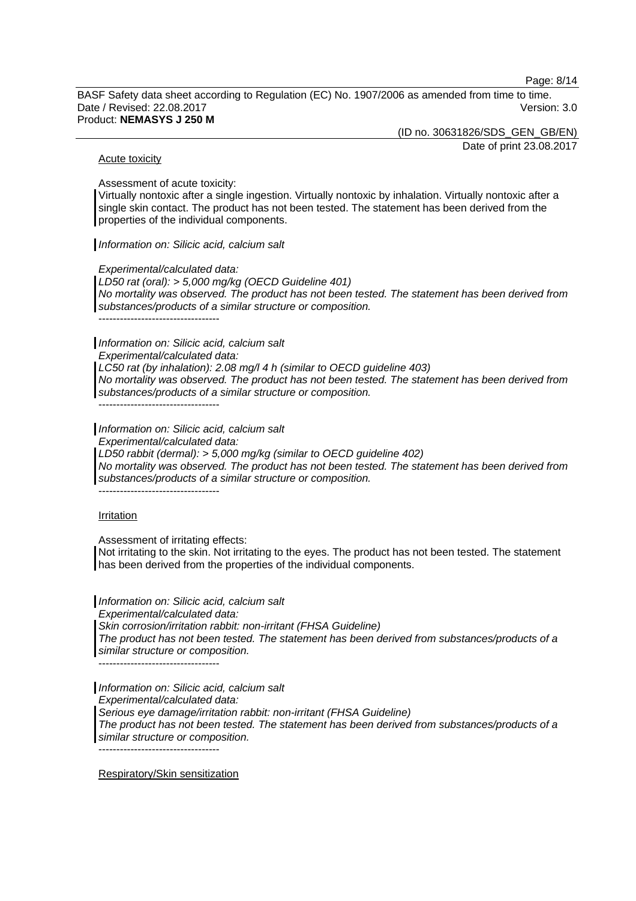Page: 8/14

BASF Safety data sheet according to Regulation (EC) No. 1907/2006 as amended from time to time. Date / Revised: 22.08.2017 Version: 3.0 Product: **NEMASYS J 250 M** 

(ID no. 30631826/SDS\_GEN\_GB/EN)

Date of print 23.08.2017

#### Acute toxicity

Assessment of acute toxicity:

Virtually nontoxic after a single ingestion. Virtually nontoxic by inhalation. Virtually nontoxic after a single skin contact. The product has not been tested. The statement has been derived from the properties of the individual components.

*Information on: Silicic acid, calcium salt*

*Experimental/calculated data:* 

*LD50 rat (oral): > 5,000 mg/kg (OECD Guideline 401) No mortality was observed. The product has not been tested. The statement has been derived from substances/products of a similar structure or composition.* 

----------------------------------

*Information on: Silicic acid, calcium salt* 

*Experimental/calculated data:* 

*LC50 rat (by inhalation): 2.08 mg/l 4 h (similar to OECD guideline 403) No mortality was observed. The product has not been tested. The statement has been derived from substances/products of a similar structure or composition.* 

 $-$ 

*Information on: Silicic acid, calcium salt* 

*Experimental/calculated data:* 

*LD50 rabbit (dermal): > 5,000 mg/kg (similar to OECD guideline 402)* 

*No mortality was observed. The product has not been tested. The statement has been derived from substances/products of a similar structure or composition.* 

----------------------------------

#### Irritation

Assessment of irritating effects:

Not irritating to the skin. Not irritating to the eyes. The product has not been tested. The statement has been derived from the properties of the individual components.

*Information on: Silicic acid, calcium salt Experimental/calculated data: Skin corrosion/irritation rabbit: non-irritant (FHSA Guideline) The product has not been tested. The statement has been derived from substances/products of a similar structure or composition.*   $-$ 

*Information on: Silicic acid, calcium salt Experimental/calculated data: Serious eye damage/irritation rabbit: non-irritant (FHSA Guideline) The product has not been tested. The statement has been derived from substances/products of a similar structure or composition.*  ----------------------------------

Respiratory/Skin sensitization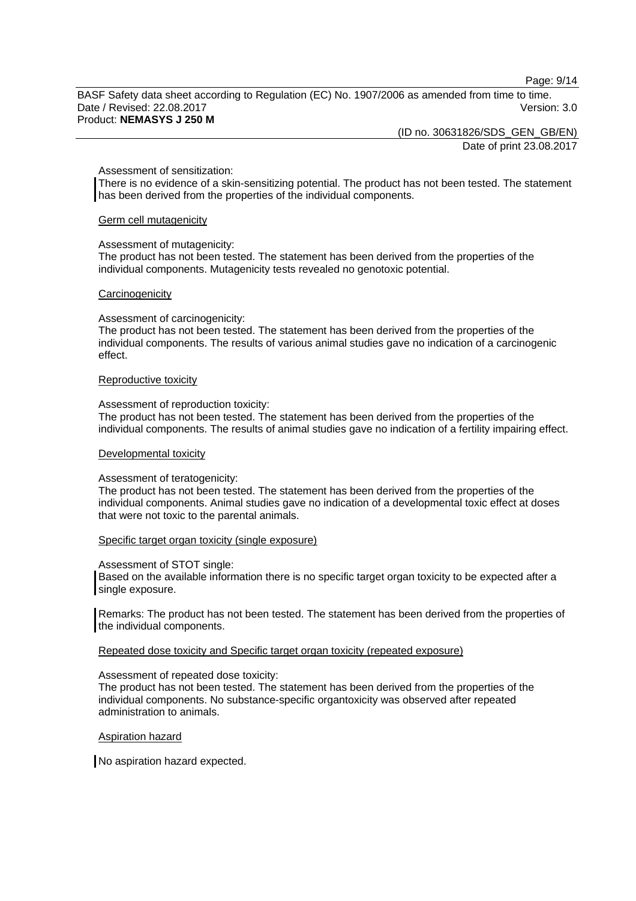Page: 9/14

BASF Safety data sheet according to Regulation (EC) No. 1907/2006 as amended from time to time. Date / Revised: 22.08.2017 Version: 3.0 Product: **NEMASYS J 250 M** 

(ID no. 30631826/SDS\_GEN\_GB/EN)

Date of print 23.08.2017

#### Assessment of sensitization:

There is no evidence of a skin-sensitizing potential. The product has not been tested. The statement has been derived from the properties of the individual components.

#### Germ cell mutagenicity

#### Assessment of mutagenicity:

The product has not been tested. The statement has been derived from the properties of the individual components. Mutagenicity tests revealed no genotoxic potential.

#### **Carcinogenicity**

#### Assessment of carcinogenicity:

The product has not been tested. The statement has been derived from the properties of the individual components. The results of various animal studies gave no indication of a carcinogenic effect.

#### Reproductive toxicity

#### Assessment of reproduction toxicity:

The product has not been tested. The statement has been derived from the properties of the individual components. The results of animal studies gave no indication of a fertility impairing effect.

#### Developmental toxicity

#### Assessment of teratogenicity:

The product has not been tested. The statement has been derived from the properties of the individual components. Animal studies gave no indication of a developmental toxic effect at doses that were not toxic to the parental animals.

#### Specific target organ toxicity (single exposure)

#### Assessment of STOT single:

Based on the available information there is no specific target organ toxicity to be expected after a single exposure.

Remarks: The product has not been tested. The statement has been derived from the properties of the individual components.

#### Repeated dose toxicity and Specific target organ toxicity (repeated exposure)

#### Assessment of repeated dose toxicity:

The product has not been tested. The statement has been derived from the properties of the individual components. No substance-specific organtoxicity was observed after repeated administration to animals.

#### Aspiration hazard

No aspiration hazard expected.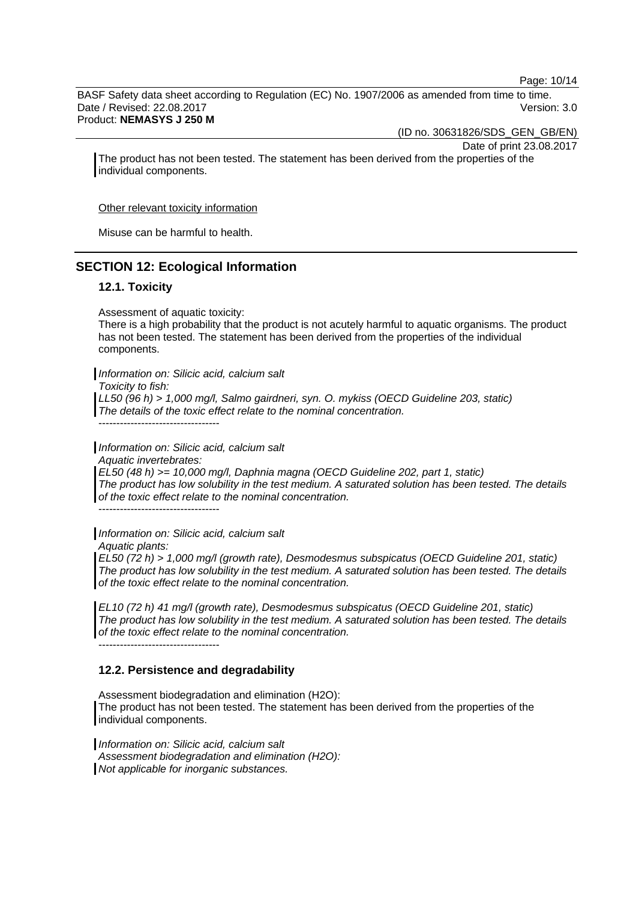Page: 10/14

BASF Safety data sheet according to Regulation (EC) No. 1907/2006 as amended from time to time. Date / Revised: 22.08.2017 Version: 3.0

Product: **NEMASYS J 250 M** 

(ID no. 30631826/SDS\_GEN\_GB/EN)

Date of print 23.08.2017

The product has not been tested. The statement has been derived from the properties of the individual components.

Other relevant toxicity information

Misuse can be harmful to health.

### **SECTION 12: Ecological Information**

#### **12.1. Toxicity**

Assessment of aquatic toxicity:

There is a high probability that the product is not acutely harmful to aquatic organisms. The product has not been tested. The statement has been derived from the properties of the individual components.

*Information on: Silicic acid, calcium salt* 

*Toxicity to fish:* 

*LL50 (96 h) > 1,000 mg/l, Salmo gairdneri, syn. O. mykiss (OECD Guideline 203, static) The details of the toxic effect relate to the nominal concentration.* 

----------------------------------

*Information on: Silicic acid, calcium salt Aquatic invertebrates: EL50 (48 h) >= 10,000 mg/l, Daphnia magna (OECD Guideline 202, part 1, static) The product has low solubility in the test medium. A saturated solution has been tested. The details of the toxic effect relate to the nominal concentration.* 

----------------------------------

*Information on: Silicic acid, calcium salt Aquatic plants:* 

*EL50 (72 h) > 1,000 mg/l (growth rate), Desmodesmus subspicatus (OECD Guideline 201, static) The product has low solubility in the test medium. A saturated solution has been tested. The details of the toxic effect relate to the nominal concentration.* 

*EL10 (72 h) 41 mg/l (growth rate), Desmodesmus subspicatus (OECD Guideline 201, static) The product has low solubility in the test medium. A saturated solution has been tested. The details of the toxic effect relate to the nominal concentration.*  ----------------------------------

#### **12.2. Persistence and degradability**

Assessment biodegradation and elimination (H2O): The product has not been tested. The statement has been derived from the properties of the individual components.

*Information on: Silicic acid, calcium salt Assessment biodegradation and elimination (H2O): Not applicable for inorganic substances.*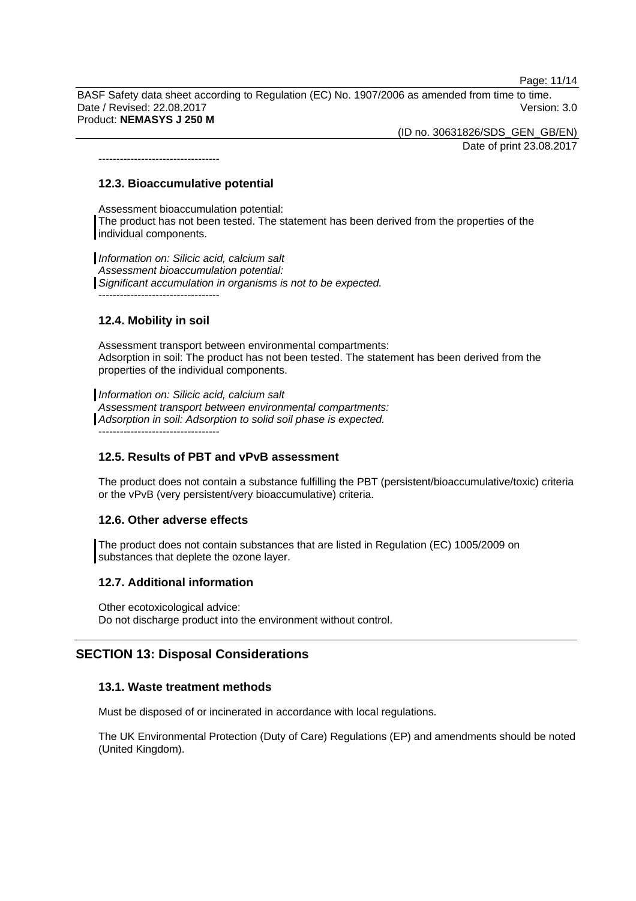Page: 11/14

BASF Safety data sheet according to Regulation (EC) No. 1907/2006 as amended from time to time. Date / Revised: 22.08.2017 Version: 3.0 Product: **NEMASYS J 250 M** 

(ID no. 30631826/SDS\_GEN\_GB/EN)

Date of print 23.08.2017

### **12.3. Bioaccumulative potential**

----------------------------------

Assessment bioaccumulation potential: The product has not been tested. The statement has been derived from the properties of the individual components.

*Information on: Silicic acid, calcium salt Assessment bioaccumulation potential: Significant accumulation in organisms is not to be expected.*  ----------------------------------

### **12.4. Mobility in soil**

Assessment transport between environmental compartments: Adsorption in soil: The product has not been tested. The statement has been derived from the properties of the individual components.

*Information on: Silicic acid, calcium salt Assessment transport between environmental compartments: Adsorption in soil: Adsorption to solid soil phase is expected.* ----------------------------------

### **12.5. Results of PBT and vPvB assessment**

The product does not contain a substance fulfilling the PBT (persistent/bioaccumulative/toxic) criteria or the vPvB (very persistent/very bioaccumulative) criteria.

#### **12.6. Other adverse effects**

The product does not contain substances that are listed in Regulation (EC) 1005/2009 on substances that deplete the ozone layer.

#### **12.7. Additional information**

Other ecotoxicological advice: Do not discharge product into the environment without control.

### **SECTION 13: Disposal Considerations**

#### **13.1. Waste treatment methods**

Must be disposed of or incinerated in accordance with local regulations.

The UK Environmental Protection (Duty of Care) Regulations (EP) and amendments should be noted (United Kingdom).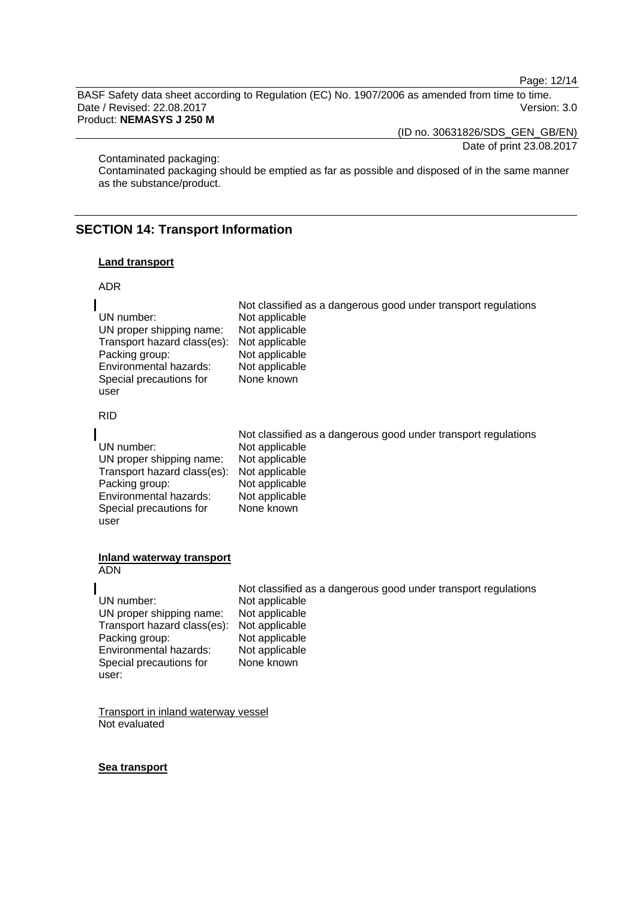Page: 12/14

BASF Safety data sheet according to Regulation (EC) No. 1907/2006 as amended from time to time. Date / Revised: 22.08.2017 Version: 3.0

Product: **NEMASYS J 250 M** 

(ID no. 30631826/SDS\_GEN\_GB/EN)

Date of print 23.08.2017

Contaminated packaging:

Contaminated packaging should be emptied as far as possible and disposed of in the same manner as the substance/product.

### **SECTION 14: Transport Information**

#### **Land transport**

#### ADR

|                                            | Not classified as a dangerous good under transport regulations |
|--------------------------------------------|----------------------------------------------------------------|
| UN number:                                 | Not applicable                                                 |
| UN proper shipping name:                   | Not applicable                                                 |
| Transport hazard class(es): Not applicable |                                                                |
| Packing group:                             | Not applicable                                                 |
| Environmental hazards:                     | Not applicable                                                 |
| Special precautions for                    | None known                                                     |
| user                                       |                                                                |

RID

|                             | Not classified as a dangerous good under transport regulations |
|-----------------------------|----------------------------------------------------------------|
| UN number:                  | Not applicable                                                 |
| UN proper shipping name:    | Not applicable                                                 |
| Transport hazard class(es): | Not applicable                                                 |
| Packing group:              | Not applicable                                                 |
| Environmental hazards:      | Not applicable                                                 |
| Special precautions for     | None known                                                     |
| user                        |                                                                |

#### **Inland waterway transport**  ADN

user:

 Not classified as a dangerous good under transport regulations UN number: Not applicable<br>UN proper shipping name: Not applicable UN proper shipping name: Not applicable<br>Transport hazard class(es): Not applicable Transport hazard class(es): Not applicable<br>Packing group: Not applicable Packing group: Not applicable<br>
Environmental hazards: Not applicable Environmental hazards: Special precautions for None known

Transport in inland waterway vessel Not evaluated

#### **Sea transport**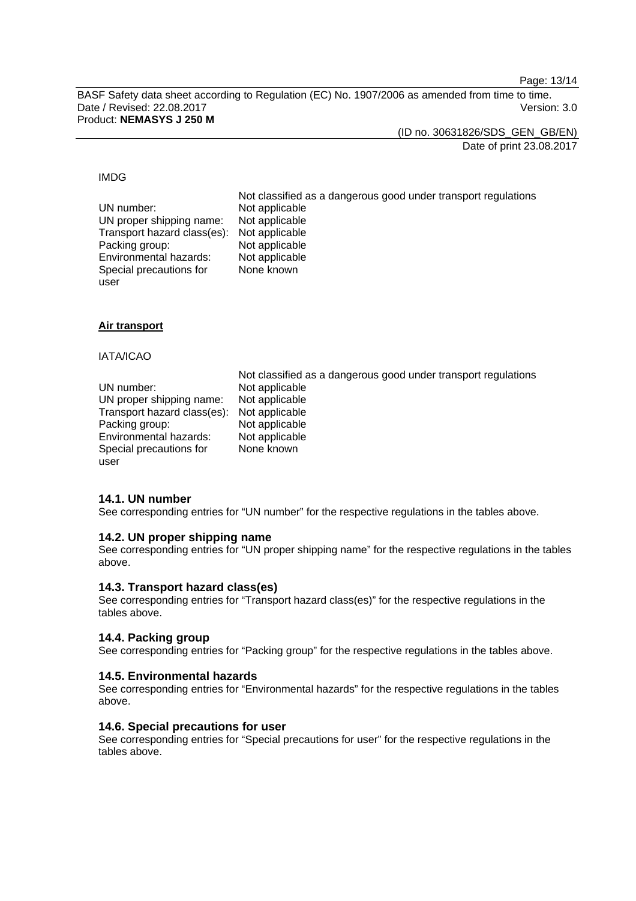Page: 13/14

BASF Safety data sheet according to Regulation (EC) No. 1907/2006 as amended from time to time. Date / Revised: 22.08.2017 Version: 3.0 Product: **NEMASYS J 250 M** 

(ID no. 30631826/SDS\_GEN\_GB/EN)

Date of print 23.08.2017

#### IMDG

| UN number:                                 | Not classified as a dangerous good under transport regulations<br>Not applicable |
|--------------------------------------------|----------------------------------------------------------------------------------|
| UN proper shipping name:                   | Not applicable                                                                   |
| Transport hazard class(es): Not applicable |                                                                                  |
| Packing group:                             | Not applicable                                                                   |
| Environmental hazards:                     | Not applicable                                                                   |
| Special precautions for                    | None known                                                                       |
| user                                       |                                                                                  |

#### **Air transport**

#### IATA/ICAO

user

|                                            | Not classified as a dangerous good under transport regulations |
|--------------------------------------------|----------------------------------------------------------------|
| UN number:                                 | Not applicable                                                 |
| UN proper shipping name:                   | Not applicable                                                 |
| Transport hazard class(es): Not applicable |                                                                |
| Packing group:                             | Not applicable                                                 |
| Environmental hazards:                     | Not applicable                                                 |
| Special precautions for                    | None known                                                     |

#### **14.1. UN number**

See corresponding entries for "UN number" for the respective regulations in the tables above.

#### **14.2. UN proper shipping name**

See corresponding entries for "UN proper shipping name" for the respective regulations in the tables above.

#### **14.3. Transport hazard class(es)**

See corresponding entries for "Transport hazard class(es)" for the respective regulations in the tables above.

#### **14.4. Packing group**

See corresponding entries for "Packing group" for the respective regulations in the tables above.

#### **14.5. Environmental hazards**

See corresponding entries for "Environmental hazards" for the respective regulations in the tables above.

#### **14.6. Special precautions for user**

See corresponding entries for "Special precautions for user" for the respective regulations in the tables above.